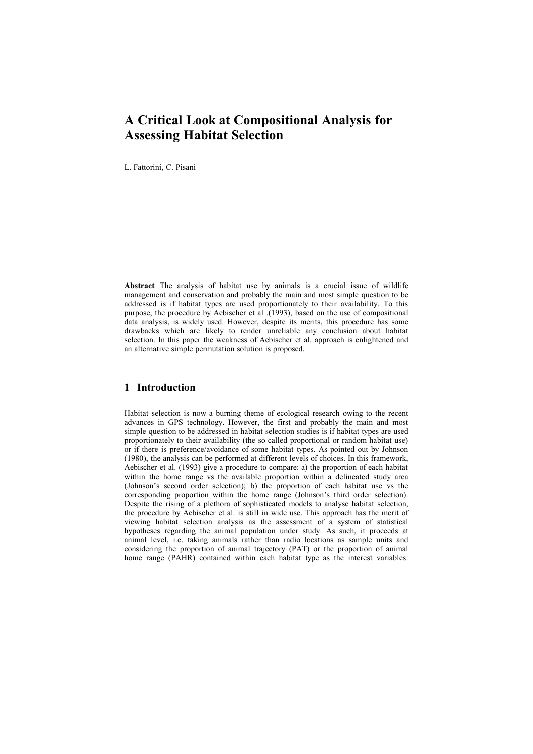# **A Critical Look at Compositional Analysis for Assessing Habitat Selection**

L. Fattorini, C. Pisani

**Abstract** The analysis of habitat use by animals is a crucial issue of wildlife management and conservation and probably the main and most simple question to be addressed is if habitat types are used proportionately to their availability. To this purpose, the procedure by Aebischer et al .(1993), based on the use of compositional data analysis, is widely used. However, despite its merits, this procedure has some drawbacks which are likely to render unreliable any conclusion about habitat selection. In this paper the weakness of Aebischer et al. approach is enlightened and an alternative simple permutation solution is proposed.

# **1 Introduction**

Habitat selection is now a burning theme of ecological research owing to the recent advances in GPS technology. However, the first and probably the main and most simple question to be addressed in habitat selection studies is if habitat types are used proportionately to their availability (the so called proportional or random habitat use) or if there is preference/avoidance of some habitat types. As pointed out by Johnson (1980), the analysis can be performed at different levels of choices. In this framework, Aebischer et al. (1993) give a procedure to compare: a) the proportion of each habitat within the home range vs the available proportion within a delineated study area (Johnson's second order selection); b) the proportion of each habitat use vs the corresponding proportion within the home range (Johnson's third order selection). Despite the rising of a plethora of sophisticated models to analyse habitat selection, the procedure by Aebischer et al. is still in wide use. This approach has the merit of viewing habitat selection analysis as the assessment of a system of statistical hypotheses regarding the animal population under study. As such, it proceeds at animal level, i.e. taking animals rather than radio locations as sample units and considering the proportion of animal trajectory (PAT) or the proportion of animal home range (PAHR) contained within each habitat type as the interest variables.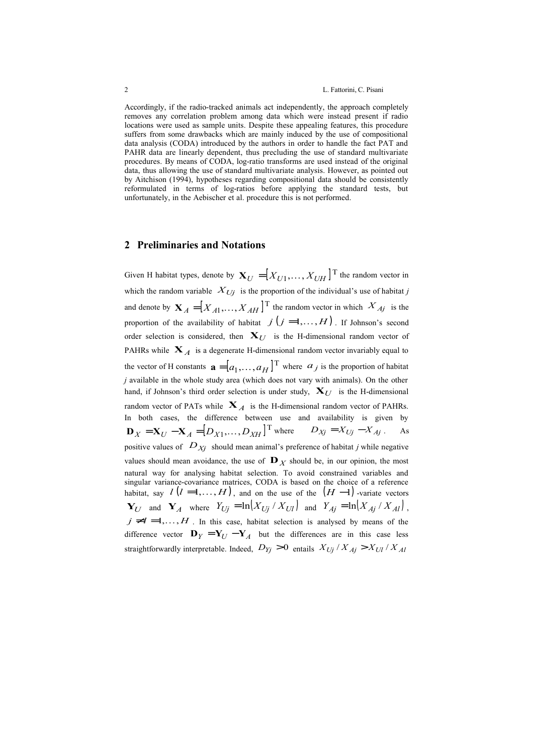Accordingly, if the radio-tracked animals act independently, the approach completely removes any correlation problem among data which were instead present if radio locations were used as sample units. Despite these appealing features, this procedure suffers from some drawbacks which are mainly induced by the use of compositional data analysis (CODA) introduced by the authors in order to handle the fact PAT and PAHR data are linearly dependent, thus precluding the use of standard multivariate procedures. By means of CODA, log-ratio transforms are used instead of the original data, thus allowing the use of standard multivariate analysis. However, as pointed out by Aitchison (1994), hypotheses regarding compositional data should be consistently reformulated in terms of log-ratios before applying the standard tests, but unfortunately, in the Aebischer et al. procedure this is not performed.

#### **2 Preliminaries and Notations**

Given H habitat types, denote by  $\mathbf{X}_U = [X_{U1},..., X_{UH}]$ <sup>T</sup> the random vector in which the random variable  $X_{U_j}$  is the proportion of the individual's use of habitat *j* and denote by  $\mathbf{X}_A = [X_{A1},..., X_{AH}]^\text{T}$  the random vector in which  $X_{Aj}$  is the proportion of the availability of habitat  $j(j=1,\ldots,H)$ . If Johnson's second order selection is considered, then  $X_{U}$  is the H-dimensional random vector of PAHRs while  $X_A$  is a degenerate H-dimensional random vector invariably equal to the vector of H constants  $\mathbf{a} = [a_1, \dots, a_H]^\text{T}$  where  $a_j$  is the proportion of habitat *j* available in the whole study area (which does not vary with animals). On the other hand, if Johnson's third order selection is under study,  $X_{U}$  is the H-dimensional random vector of PATs while  $X_A$  is the H-dimensional random vector of PAHRs. In both cases, the difference between use and availability is given by  $D_X = X_U - X_A = [D_{X1}, \dots, D_{XH}]$ <sup>T</sup> where  $D_{Xj} = X_{Uj} - X_{Aj}$ . As positive values of  $D_{Xj}$  should mean animal's preference of habitat *j* while negative values should mean avoidance, the use of  $\mathbf{D}_X$  should be, in our opinion, the most natural way for analysing habitat selection. To avoid constrained variables and singular variance-covariance matrices, CODA is based on the choice of a reference habitat, say  $l(l=1,\ldots,H)$ , and on the use of the  $(H-1)$  -variate vectors  $\mathbf{Y}_U$  and  $\mathbf{Y}_A$  where  $Y_{Uj} = \ln(X_{Uj}/X_{Ul})$  and  $Y_{Ai} = \ln(X_{Ai}/X_{AI})$ ,  $j \neq l = 1, \ldots, H$ . In this case, habitat selection is analysed by means of the difference vector  $\mathbf{D}_Y = \mathbf{Y}_U - \mathbf{Y}_A$  but the differences are in this case less straightforwardly interpretable. Indeed,  $D_{Yj} > 0$  entails  $X_{Uj} / X_{Ai} > X_{Ul} / X_{Al}$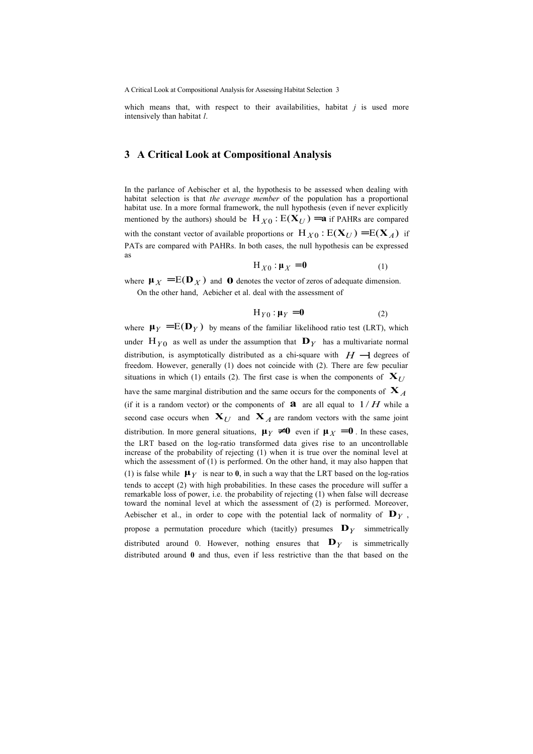A Critical Look at Compositional Analysis for Assessing Habitat Selection 3

which means that, with respect to their availabilities, habitat *j* is used more intensively than habitat *l*.

### **3 A Critical Look at Compositional Analysis**

In the parlance of Aebischer et al, the hypothesis to be assessed when dealing with habitat selection is that *the average member* of the population has a proportional habitat use. In a more formal framework, the null hypothesis (even if never explicitly mentioned by the authors) should be  $H_{X0}$  :  $E(\mathbf{X}_U) = \mathbf{a}$  if PAHRs are compared with the constant vector of available proportions or  $H_{X0}$ :  $E(X_U) = E(X_A)$  if PATs are compared with PAHRs. In both cases, the null hypothesis can be expressed as

$$
H_{X0} : \mu_X = 0 \tag{1}
$$

where  $\mu_X = E(D_X)$  and **0** denotes the vector of zeros of adequate dimension. On the other hand, Aebicher et al. deal with the assessment of

$$
H_{Y0} : \mu_Y = 0 \tag{2}
$$

where  $\mu_Y = E(D_Y)$  by means of the familiar likelihood ratio test (LRT), which under  $H_{\gamma 0}$  as well as under the assumption that  $\mathbf{D}_{\gamma}$  has a multivariate normal distribution, is asymptotically distributed as a chi-square with  $H-1$  degrees of freedom. However, generally (1) does not coincide with (2). There are few peculiar situations in which (1) entails (2). The first case is when the components of  $X_U$ have the same marginal distribution and the same occurs for the components of  $\mathbf{X}_A$ (if it is a random vector) or the components of  $\mathbf{a}$  are all equal to  $1/H$  while a second case occurs when  $X_U$  and  $X_A$  are random vectors with the same joint distribution. In more general situations,  $\mu_Y \neq 0$  even if  $\mu_X = 0$ . In these cases, the LRT based on the log-ratio transformed data gives rise to an uncontrollable increase of the probability of rejecting (1) when it is true over the nominal level at which the assessment of (1) is performed. On the other hand, it may also happen that (1) is false while  $\mu_Y$  is near to 0, in such a way that the LRT based on the log-ratios tends to accept (2) with high probabilities. In these cases the procedure will suffer a remarkable loss of power, i.e. the probability of rejecting (1) when false will decrease toward the nominal level at which the assessment of (2) is performed. Moreover, Aebischer et al., in order to cope with the potential lack of normality of  $\mathbf{D}_Y$ , propose a permutation procedure which (tacitly) presumes  $\mathbf{D}_Y$  simmetrically distributed around 0. However, nothing ensures that  $\mathbf{D}_Y$  is simmetrically distributed around **0** and thus, even if less restrictive than the that based on the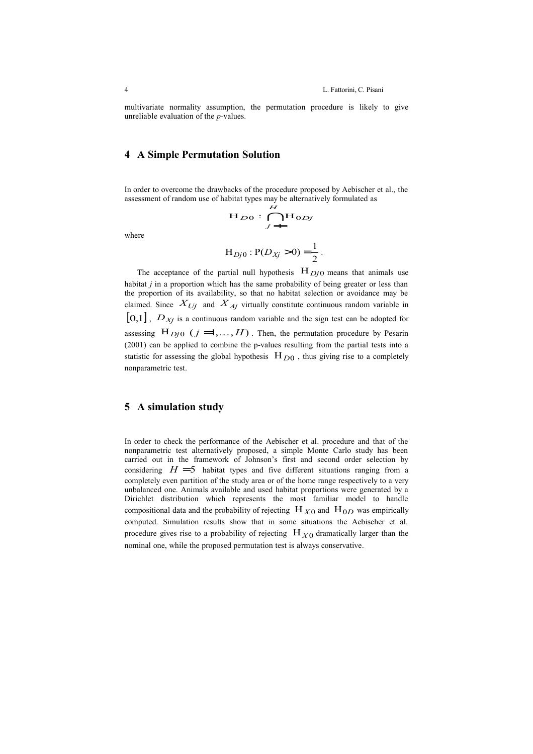multivariate normality assumption, the permutation procedure is likely to give unreliable evaluation of the *p*-values.

# **4 A Simple Permutation Solution**

In order to overcome the drawbacks of the procedure proposed by Aebischer et al., the assessment of random use of habitat types may be alternatively formulated as<br>  $H_{DQ}$ :  $\bigcap_{i \to \infty} H_{QDj}$ 

$$
H_{D0}: \bigcap_{j=1}^{H} H_{0Dj}
$$

where

$$
H_{Dj0}: P(D_{Xj} > 0) = \frac{1}{2}.
$$

The acceptance of the partial null hypothesis  $H_{D<sub>j</sub>0}$  means that animals use habitat *j* in a proportion which has the same probability of being greater or less than the proportion of its availability, so that no habitat selection or avoidance may be claimed. Since  $X_{Uj}$  and  $X_{Aj}$  virtually constitute continuous random variable in  $[0,1]$ ,  $D_{Xj}$  is a continuous random variable and the sign test can be adopted for assessing  $H_{D_j}$  ( $j = 1, ..., H$ ). Then, the permutation procedure by Pesarin (2001) can be applied to combine the p-values resulting from the partial tests into a statistic for assessing the global hypothesis  $H_{D0}$ , thus giving rise to a completely nonparametric test.

## **5 A simulation study**

In order to check the performance of the Aebischer et al. procedure and that of the nonparametric test alternatively proposed, a simple Monte Carlo study has been carried out in the framework of Johnson's first and second order selection by considering  $H = 5$  habitat types and five different situations ranging from a completely even partition of the study area or of the home range respectively to a very unbalanced one. Animals available and used habitat proportions were generated by a Dirichlet distribution which represents the most familiar model to handle compositional data and the probability of rejecting  $H_{X0}$  and  $H_{0D}$  was empirically computed. Simulation results show that in some situations the Aebischer et al. procedure gives rise to a probability of rejecting  $H_{X0}$  dramatically larger than the nominal one, while the proposed permutation test is always conservative.